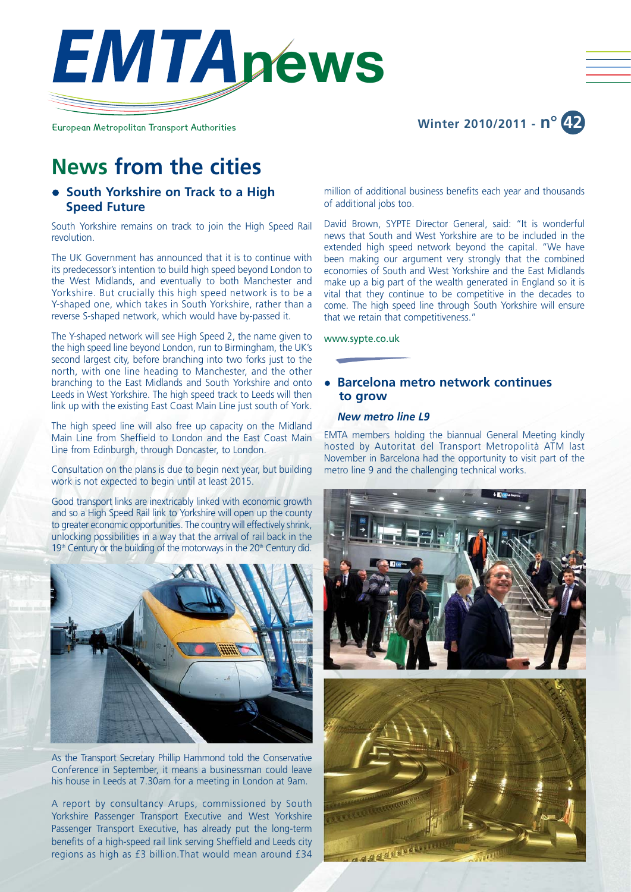

European Metropolitan Transport Authorities

## **Winter 2010/2011 - n° 42**

# **News from the cities**

## **• South Yorkshire on Track to a High Speed Future**

South Yorkshire remains on track to join the High Speed Rail revolution.

The UK Government has announced that it is to continue with its predecessor's intention to build high speed beyond London to the West Midlands, and eventually to both Manchester and Yorkshire. But crucially this high speed network is to be a Y-shaped one, which takes in South Yorkshire, rather than a reverse S-shaped network, which would have by-passed it.

The Y-shaped network will see High Speed 2, the name given to the high speed line beyond London, run to Birmingham, the UK's second largest city, before branching into two forks just to the north, with one line heading to Manchester, and the other branching to the East Midlands and South Yorkshire and onto Leeds in West Yorkshire. The high speed track to Leeds will then link up with the existing East Coast Main Line just south of York.

The high speed line will also free up capacity on the Midland Main Line from Sheffield to London and the East Coast Main Line from Edinburgh, through Doncaster, to London.

Consultation on the plans is due to begin next year, but building work is not expected to begin until at least 2015.

Good transport links are inextricably linked with economic growth and so a High Speed Rail link to Yorkshire will open up the county to greater economic opportunities. The country will effectively shrink, unlocking possibilities in a way that the arrival of rail back in the  $19<sup>th</sup>$  Century or the building of the motorways in the 20<sup>th</sup> Century did.



As the Transport Secretary Phillip Hammond told the Conservative Conference in September, it means a businessman could leave his house in Leeds at 7.30am for a meeting in London at 9am.

A report by consultancy Arups, commissioned by South Yorkshire Passenger Transport Executive and West Yorkshire Passenger Transport Executive, has already put the long-term benefits of a high-speed rail link serving Sheffield and Leeds city regions as high as £3 billion.That would mean around £34 million of additional business benefits each year and thousands of additional jobs too.

David Brown, SYPTE Director General, said: "It is wonderful news that South and West Yorkshire are to be included in the extended high speed network beyond the capital. "We have been making our argument very strongly that the combined economies of South and West Yorkshire and the East Midlands make up a big part of the wealth generated in England so it is vital that they continue to be competitive in the decades to come. The high speed line through South Yorkshire will ensure that we retain that competitiveness."

www.sypte.co.uk

## **• Barcelona metro network continues to grow**

#### *New metro line L9*

EMTA members holding the biannual General Meeting kindly hosted by Autoritat del Transport Metropolità ATM last November in Barcelona had the opportunity to visit part of the metro line 9 and the challenging technical works.

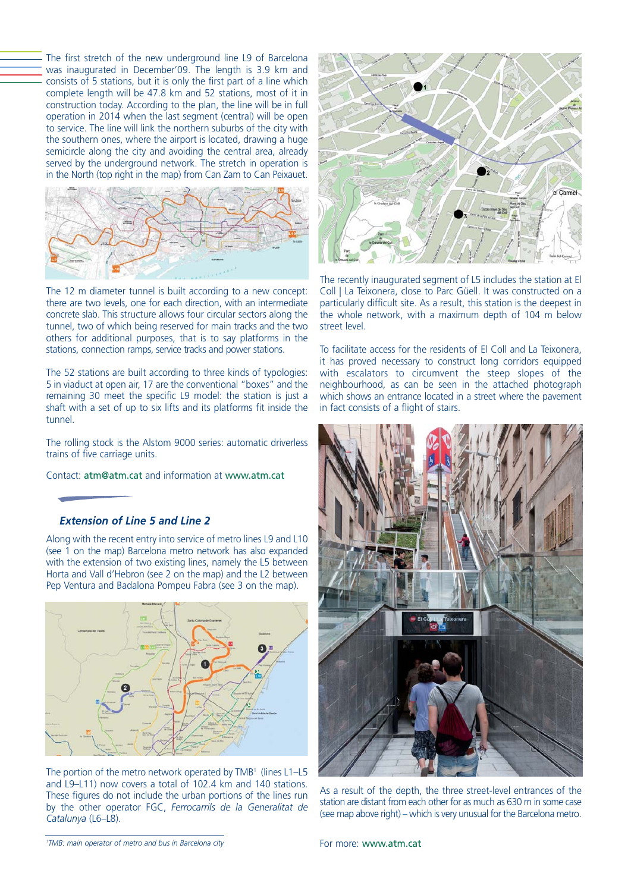The first stretch of the new underground line L9 of Barcelona was inaugurated in December'09. The length is 3.9 km and consists of 5 stations, but it is only the first part of a line which complete length will be 47.8 km and 52 stations, most of it in construction today. According to the plan, the line will be in full operation in 2014 when the last segment (central) will be open to service. The line will link the northern suburbs of the city with the southern ones, where the airport is located, drawing a huge semicircle along the city and avoiding the central area, already served by the underground network. The stretch in operation is in the North (top right in the map) from Can Zam to Can Peixauet.



The 12 m diameter tunnel is built according to a new concept: there are two levels, one for each direction, with an intermediate concrete slab. This structure allows four circular sectors along the tunnel, two of which being reserved for main tracks and the two others for additional purposes, that is to say platforms in the stations, connection ramps, service tracks and power stations.

The 52 stations are built according to three kinds of typologies: 5 in viaduct at open air, 17 are the conventional "boxes" and the remaining 30 meet the specific L9 model: the station is just a shaft with a set of up to six lifts and its platforms fit inside the tunnel.

The rolling stock is the Alstom 9000 series: automatic driverless trains of five carriage units.

Contact: atm@atm.cat and information at www.atm.cat

## *Extension of Line 5 and Line 2*

Along with the recent entry into service of metro lines L9 and L10 (see 1 on the map) Barcelona metro network has also expanded with the extension of two existing lines, namely the L5 between Horta and Vall d'Hebron (see 2 on the map) and the L2 between Pep Ventura and Badalona Pompeu Fabra (see 3 on the map).



The portion of the metro network operated by TMB<sup>1</sup> (lines L1-L5 and L9–L11) now covers a total of 102.4 km and 140 stations. These figures do not include the urban portions of the lines run by the other operator FGC, *Ferrocarrils de la Generalitat de Catalunya* (L6–L8).



The recently inaugurated segment of L5 includes the station at El Coll | La Teixonera, close to Parc Güell. It was constructed on a particularly difficult site. As a result, this station is the deepest in the whole network, with a maximum depth of 104 m below street level.

To facilitate access for the residents of El Coll and La Teixonera, it has proved necessary to construct long corridors equipped with escalators to circumvent the steep slopes of the neighbourhood, as can be seen in the attached photograph which shows an entrance located in a street where the pavement in fact consists of a flight of stairs.



As a result of the depth, the three street-level entrances of the station are distant from each other for as much as 630 m in some case (see map above right) – which is very unusual for the Barcelona metro.

*1 TMB: main operator of metro and bus in Barcelona city*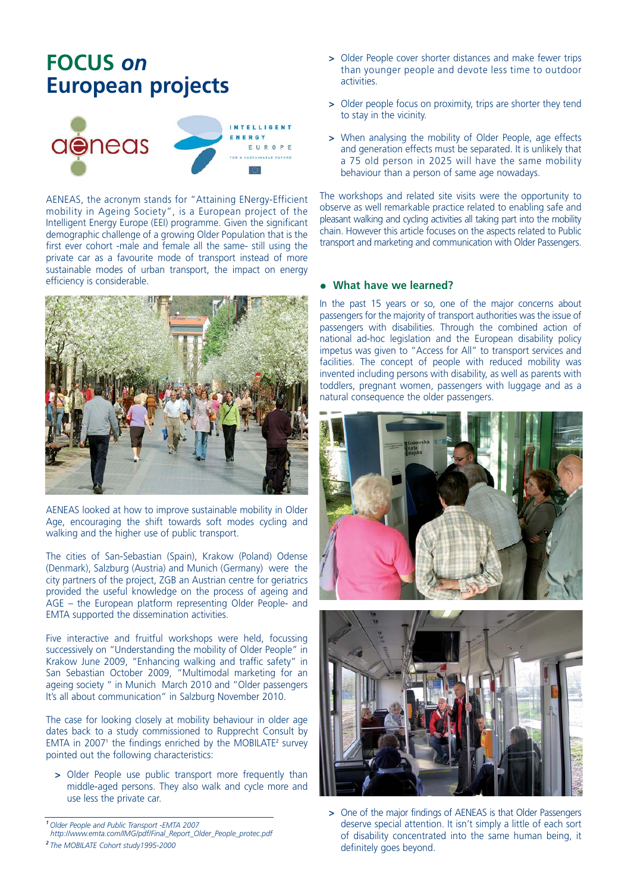# **FOCUS** *on* **European projects**



AENEAS, the acronym stands for "Attaining ENergy-Efficient mobility in Ageing Society", is a European project of the Intelligent Energy Europe (EEI) programme. Given the significant demographic challenge of a growing Older Population that is the first ever cohort -male and female all the same- still using the private car as a favourite mode of transport instead of more sustainable modes of urban transport, the impact on energy efficiency is considerable.



AENEAS looked at how to improve sustainable mobility in Older Age, encouraging the shift towards soft modes cycling and walking and the higher use of public transport.

The cities of San-Sebastian (Spain), Krakow (Poland) Odense (Denmark), Salzburg (Austria) and Munich (Germany) were the city partners of the project, ZGB an Austrian centre for geriatrics provided the useful knowledge on the process of ageing and AGE – the European platform representing Older People- and EMTA supported the dissemination activities.

Five interactive and fruitful workshops were held, focussing successively on "Understanding the mobility of Older People" in Krakow June 2009, "Enhancing walking and traffic safety" in San Sebastian October 2009, "Multimodal marketing for an ageing society " in Munich March 2010 and "Older passengers It's all about communication" in Salzburg November 2010.

The case for looking closely at mobility behaviour in older age dates back to a study commissioned to Rupprecht Consult by EMTA in 2007<sup>1</sup> the findings enriched by the MOBILATE<sup>2</sup> survey pointed out the following characteristics:

**>** Older People use public transport more frequently than middle-aged persons. They also walk and cycle more and use less the private car.

*<sup>2</sup>The MOBILATE Cohort study1995-2000*

- **>** Older People cover shorter distances and make fewer trips than younger people and devote less time to outdoor activities.
- **>** Older people focus on proximity, trips are shorter they tend to stay in the vicinity.
- **>** When analysing the mobility of Older People, age effects and generation effects must be separated. It is unlikely that a 75 old person in 2025 will have the same mobility behaviour than a person of same age nowadays.

The workshops and related site visits were the opportunity to observe as well remarkable practice related to enabling safe and pleasant walking and cycling activities all taking part into the mobility chain. However this article focuses on the aspects related to Public transport and marketing and communication with Older Passengers.

#### **• What have we learned?**

In the past 15 years or so, one of the major concerns about passengers for the majority of transport authorities was the issue of passengers with disabilities. Through the combined action of national ad-hoc legislation and the European disability policy impetus was given to "Access for All" to transport services and facilities. The concept of people with reduced mobility was invented including persons with disability, as well as parents with toddlers, pregnant women, passengers with luggage and as a natural consequence the older passengers.





**>** One of the major findings of AENEAS is that Older Passengers deserve special attention. It isn't simply a little of each sort of disability concentrated into the same human being, it definitely goes beyond.

*<sup>1</sup>Older People and Public Transport -EMTA 2007*

*http://www.emta.com/IMG/pdf/Final\_Report\_Older\_People\_protec.pdf*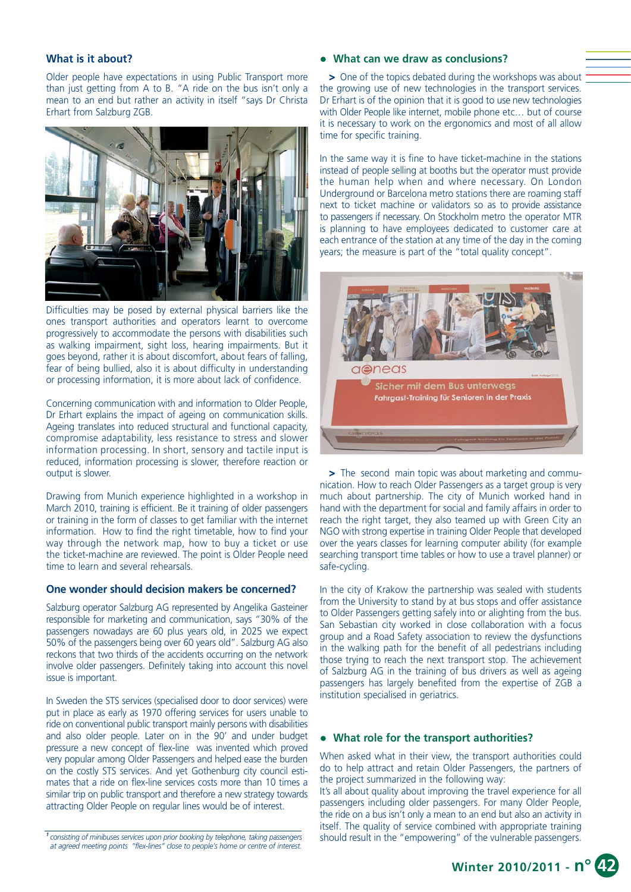#### **What is it about?**

Older people have expectations in using Public Transport more than just getting from A to B. "A ride on the bus isn't only a mean to an end but rather an activity in itself "says Dr Christa Erhart from Salzburg ZGB.



Difficulties may be posed by external physical barriers like the ones transport authorities and operators learnt to overcome progressively to accommodate the persons with disabilities such as walking impairment, sight loss, hearing impairments. But it goes beyond, rather it is about discomfort, about fears of falling, fear of being bullied, also it is about difficulty in understanding or processing information, it is more about lack of confidence.

Concerning communication with and information to Older People, Dr Erhart explains the impact of ageing on communication skills. Ageing translates into reduced structural and functional capacity, compromise adaptability, less resistance to stress and slower information processing. In short, sensory and tactile input is reduced, information processing is slower, therefore reaction or output is slower.

Drawing from Munich experience highlighted in a workshop in March 2010, training is efficient. Be it training of older passengers or training in the form of classes to get familiar with the internet information. How to find the right timetable, how to find your way through the network map, how to buy a ticket or use the ticket-machine are reviewed. The point is Older People need time to learn and several rehearsals.

### **One wonder should decision makers be concerned?**

Salzburg operator Salzburg AG represented by Angelika Gasteiner responsible for marketing and communication, says "30% of the passengers nowadays are 60 plus years old, in 2025 we expect 50% of the passengers being over 60 years old". Salzburg AG also reckons that two thirds of the accidents occurring on the network involve older passengers. Definitely taking into account this novel issue is important.

In Sweden the STS services (specialised door to door services) were put in place as early as 1970 offering services for users unable to ride on conventional public transport mainly persons with disabilities and also older people. Later on in the 90' and under budget pressure a new concept of flex-line was invented which proved very popular among Older Passengers and helped ease the burden on the costly STS services. And yet Gothenburg city council estimates that a ride on flex-line services costs more than 10 times a similar trip on public transport and therefore a new strategy towards attracting Older People on regular lines would be of interest.

*<sup>1</sup>consisting of minibuses services upon prior booking by telephone, taking passengers at agreed meeting points "flex-lines" close to people's home or centre of interest.*

#### • What can we draw as conclusions?

**>** One of the topics debated during the workshops was about the growing use of new technologies in the transport services. Dr Erhart is of the opinion that it is good to use new technologies with Older People like internet, mobile phone etc… but of course it is necessary to work on the ergonomics and most of all allow time for specific training.

In the same way it is fine to have ticket-machine in the stations instead of people selling at booths but the operator must provide the human help when and where necessary. On London Underground or Barcelona metro stations there are roaming staff next to ticket machine or validators so as to provide assistance to passengers if necessary. On Stockholm metro the operator MTR is planning to have employees dedicated to customer care at each entrance of the station at any time of the day in the coming years; the measure is part of the "total quality concept".



**>** The second main topic was about marketing and communication. How to reach Older Passengers as a target group is very much about partnership. The city of Munich worked hand in hand with the department for social and family affairs in order to reach the right target, they also teamed up with Green City an NGO with strong expertise in training Older People that developed over the years classes for learning computer ability (for example searching transport time tables or how to use a travel planner) or safe-cycling.

In the city of Krakow the partnership was sealed with students from the University to stand by at bus stops and offer assistance to Older Passengers getting safely into or alighting from the bus. San Sebastian city worked in close collaboration with a focus group and a Road Safety association to review the dysfunctions in the walking path for the benefit of all pedestrians including those trying to reach the next transport stop. The achievement of Salzburg AG in the training of bus drivers as well as ageing passengers has largely benefited from the expertise of ZGB a institution specialised in geriatrics.

#### • What role for the transport authorities?

When asked what in their view, the transport authorities could do to help attract and retain Older Passengers, the partners of the project summarized in the following way:

It's all about quality about improving the travel experience for all passengers including older passengers. For many Older People, the ride on a bus isn't only a mean to an end but also an activity in itself. The quality of service combined with appropriate training should result in the "empowering" of the vulnerable passengers.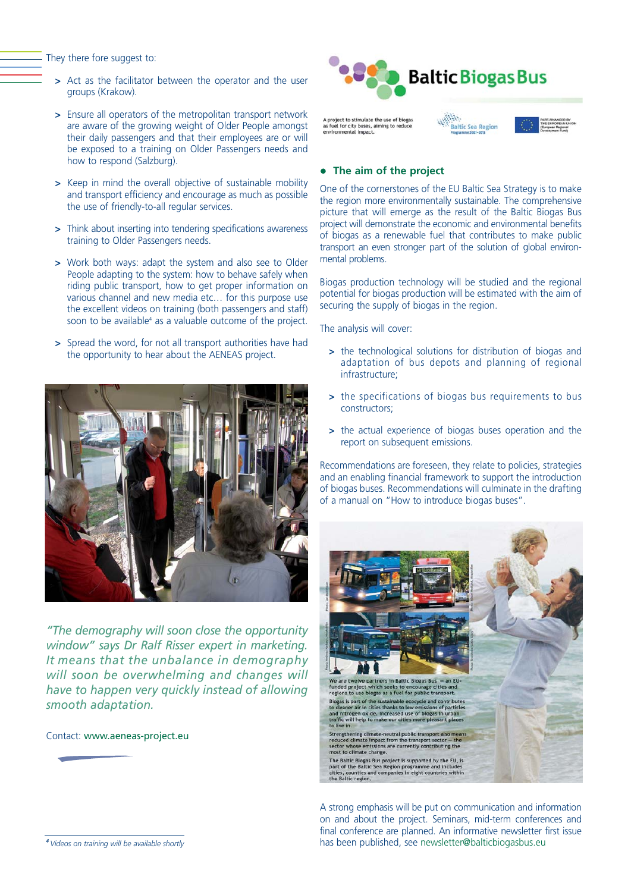They there fore suggest to:

- **>** Act as the facilitator between the operator and the user groups (Krakow).
- **>** Ensure all operators of the metropolitan transport network are aware of the growing weight of Older People amongst their daily passengers and that their employees are or will be exposed to a training on Older Passengers needs and how to respond (Salzburg).
- **>** Keep in mind the overall objective of sustainable mobility and transport efficiency and encourage as much as possible the use of friendly-to-all regular services.
- **>** Think about inserting into tendering specifications awareness training to Older Passengers needs.
- **>** Work both ways: adapt the system and also see to Older People adapting to the system: how to behave safely when riding public transport, how to get proper information on various channel and new media etc… for this purpose use the excellent videos on training (both passengers and staff) soon to be available $4$  as a valuable outcome of the project.
- **>** Spread the word, for not all transport authorities have had the opportunity to hear about the AENEAS project.



*"The demography will soon close the opportunity window" says Dr Ralf Risser expert in marketing. It means that the unbalance in demography will soon be overwhelming and changes will have to happen very quickly instead of allowing smooth adaptation.*

Contact: www.aeneas-project.eu



## **•** The aim of the project

One of the cornerstones of the EU Baltic Sea Strategy is to make the region more environmentally sustainable. The comprehensive picture that will emerge as the result of the Baltic Biogas Bus project will demonstrate the economic and environmental benefits of biogas as a renewable fuel that contributes to make public transport an even stronger part of the solution of global environmental problems.

Biogas production technology will be studied and the regional potential for biogas production will be estimated with the aim of securing the supply of biogas in the region.

The analysis will cover:

- **>** the technological solutions for distribution of biogas and adaptation of bus depots and planning of regional infrastructure;
- **>** the specifications of biogas bus requirements to bus constructors;
- **>** the actual experience of biogas buses operation and the report on subsequent emissions.

Recommendations are foreseen, they relate to policies, strategies and an enabling financial framework to support the introduction of biogas buses. Recommendations will culminate in the drafting of a manual on "How to introduce biogas buses".



A strong emphasis will be put on communication and information on and about the project. Seminars, mid-term conferences and final conference are planned. An informative newsletter first issue has been published, see newsletter@balticbiogasbus.eu

*<sup>4</sup>Videos on training will be available shortly*